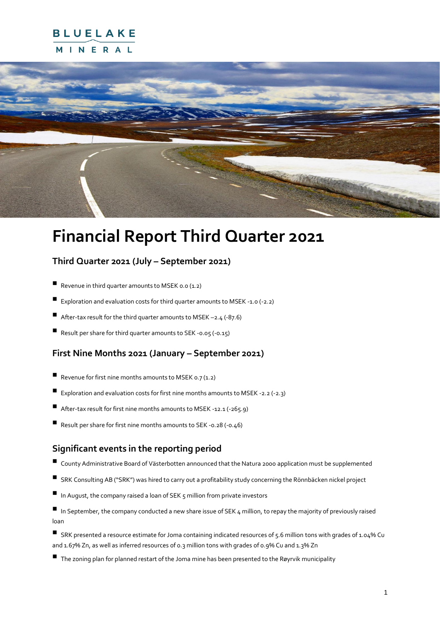## **BLUELAKE** MINERAL



# **Financial Report Third Quarter 2021**

### **Third Quarter 2021 (July – September 2021)**

- $\blacksquare$  Revenue in third quarter amounts to MSEK 0.0 (1.2)
- Exploration and evaluation costs for third quarter amounts to MSEK -1.0 (-2.2)
- After-tax result for the third quarter amounts to MSEK  $-2.4$  (-87.6)
- Result per share for third quarter amounts to SEK -0.05 (-0.15)

### **First Nine Months 2021 (January – September 2021)**

- Revenue for first nine months amounts to MSEK 0.7  $(1.2)$
- Exploration and evaluation costs for first nine months amounts to MSEK -2.2 (-2.3)
- $\blacksquare$  After-tax result for first nine months amounts to MSEK -12.1 (-265.9)
- Result per share for first nine months amounts to SEK -0.28 (-0.46)

#### **Significant events in the reporting period**

- County Administrative Board of Västerbotten announced that the Natura 2000 application must be supplemented
- SRK Consulting AB ("SRK") was hired to carry out a profitability study concerning the Rönnbäcken nickel project
- $\blacksquare$  In August, the company raised a loan of SEK 5 million from private investors
- In September, the company conducted a new share issue of SEK 4 million, to repay the majority of previously raised loan
- SRK presented a resource estimate for Joma containing indicated resources of 5.6 million tons with grades of 1.04% Cu and 1.67% Zn, as well as inferred resources of 0.3 million tons with grades of 0.9% Cu and 1.3% Zn
- The zoning plan for planned restart of the Joma mine has been presented to the Røyrvik municipality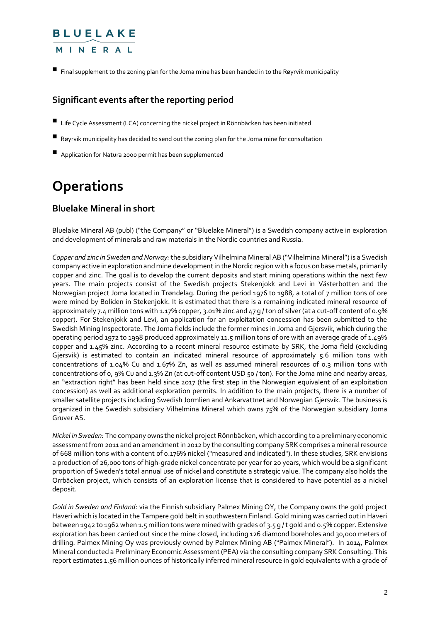### MINERAL

■ Final supplement to the zoning plan for the Joma mine has been handed in to the Røyrvik municipality

### **Significant events after the reporting period**

- $\blacksquare$  Life Cycle Assessment (LCA) concerning the nickel project in Rönnbäcken has been initiated
- $\blacksquare$  Røyrvik municipality has decided to send out the zoning plan for the Joma mine for consultation
- **E** Application for Natura 2000 permit has been supplemented

# **Operations**

### **Bluelake Mineral in short**

Bluelake Mineral AB (publ) ("the Company" or "Bluelake Mineral") is a Swedish company active in exploration and development of minerals and raw materials in the Nordic countries and Russia.

*Copper and zinc in Sweden and Norway:*the subsidiary Vilhelmina Mineral AB ("Vilhelmina Mineral") is a Swedish company active in exploration and mine development in the Nordic region with a focus on base metals, primarily copper and zinc. The goal is to develop the current deposits and start mining operations within the next few years. The main projects consist of the Swedish projects Stekenjokk and Levi in Västerbotten and the Norwegian project Joma located in Trøndelag. During the period 1976 to 1988, a total of 7 million tons of ore were mined by Boliden in Stekenjokk. It is estimated that there is a remaining indicated mineral resource of approximately 7.4 million tons with 1.17% copper, 3.01% zinc and 47 g / ton of silver (at a cut-off content of 0.9% copper). For Stekenjokk and Levi, an application for an exploitation concession has been submitted to the Swedish Mining Inspectorate. The Joma fields include the former mines in Joma and Gjersvik, which during the operating period 1972 to 1998 produced approximately 11.5 million tons of ore with an average grade of 1.49% copper and 1.45% zinc. According to a recent mineral resource estimate by SRK, the Joma field (excluding Gjersvik) is estimated to contain an indicated mineral resource of approximately 5.6 million tons with concentrations of 1.04% Cu and 1.67% Zn, as well as assumed mineral resources of 0.3 million tons with concentrations of 0, 9% Cu and 1.3% Zn (at cut-off content USD 50 / ton). For the Joma mine and nearby areas, an "extraction right" has been held since 2017 (the first step in the Norwegian equivalent of an exploitation concession) as well as additional exploration permits. In addition to the main projects, there is a number of smaller satellite projects including Swedish Jormlien and Ankarvattnet and Norwegian Gjersvik. The business is organized in the Swedish subsidiary Vilhelmina Mineral which owns 75% of the Norwegian subsidiary Joma Gruver AS.

*Nickel in Sweden:* The company owns the nickel project Rönnbäcken, which according to a preliminary economic assessment from 2011 and an amendment in 2012 by the consulting company SRK comprises a mineral resource of 668 million tons with a content of 0.176% nickel ("measured and indicated"). In these studies, SRK envisions a production of 26,000 tons of high-grade nickel concentrate per year for 20 years, which would be a significant proportion of Sweden's total annual use of nickel and constitute a strategic value. The company also holds the Orrbäcken project, which consists of an exploration license that is considered to have potential as a nickel deposit.

*Gold in Sweden and Finland:* via the Finnish subsidiary Palmex Mining OY, the Company owns the gold project Haveri which is located in the Tampere gold belt in southwestern Finland. Gold mining was carried out in Haveri between 1942 to 1962 when 1.5 million tons were mined with grades of 3.5 g / t gold and 0.5% copper. Extensive exploration has been carried out since the mine closed, including 126 diamond boreholes and 30,000 meters of drilling. Palmex Mining Oy was previously owned by Palmex Mining AB ("Palmex Mineral"). In 2014, Palmex Mineral conducted a Preliminary Economic Assessment (PEA) via the consulting company SRK Consulting. This report estimates 1.56 million ounces of historically inferred mineral resource in gold equivalents with a grade of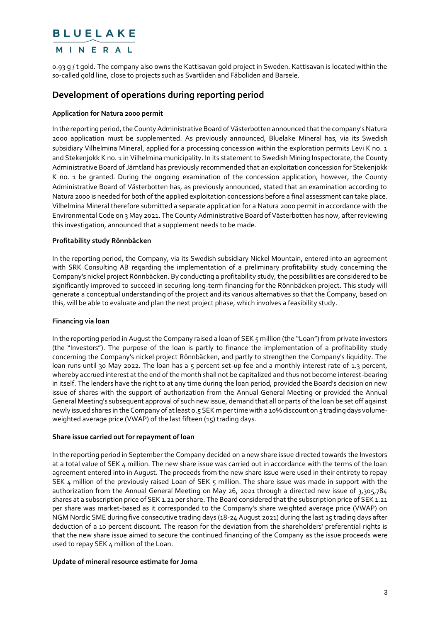#### MINERAL

0.93 g / t gold. The company also owns the Kattisavan gold project in Sweden. Kattisavan is located within the so-called gold line, close to projects such as Svartliden and Fäboliden and Barsele.

#### **Development of operations during reporting period**

#### **Application for Natura 2000 permit**

In the reporting period, the County Administrative Board of Västerbotten announced that the company's Natura 2000 application must be supplemented. As previously announced, Bluelake Mineral has, via its Swedish subsidiary Vilhelmina Mineral, applied for a processing concession within the exploration permits Levi K no. 1 and Stekenjokk K no. 1 in Vilhelmina municipality. In its statement to Swedish Mining Inspectorate, the County Administrative Board of Jämtland has previously recommended that an exploitation concession for Stekenjokk K no. 1 be granted. During the ongoing examination of the concession application, however, the County Administrative Board of Västerbotten has, as previously announced, stated that an examination according to Natura 2000 is needed for both of the applied exploitation concessions before a final assessment can take place. Vilhelmina Mineral therefore submitted a separate application for a Natura 2000 permit in accordance with the Environmental Code on 3 May 2021. The County Administrative Board of Västerbotten has now, after reviewing this investigation, announced that a supplement needs to be made.

#### **Profitability study Rönnbäcken**

In the reporting period, the Company, via its Swedish subsidiary Nickel Mountain, entered into an agreement with SRK Consulting AB regarding the implementation of a preliminary profitability study concerning the Company's nickel project Rönnbäcken. By conducting a profitability study, the possibilities are considered to be significantly improved to succeed in securing long-term financing for the Rönnbäcken project. This study will generate a conceptual understanding of the project and its various alternatives so that the Company, based on this, will be able to evaluate and plan the next project phase, which involves a feasibility study.

#### **Financing via loan**

In the reporting period in August the Company raised a loan of SEK 5 million (the "Loan") from private investors (the "Investors"). The purpose of the loan is partly to finance the implementation of a profitability study concerning the Company's nickel project Rönnbäcken, and partly to strengthen the Company's liquidity. The loan runs until 30 May 2022. The loan has a 5 percent set-up fee and a monthly interest rate of 1.3 percent, whereby accrued interest at the end of the month shall not be capitalized and thus not become interest-bearing in itself. The lenders have the right to at any time during the loan period, provided the Board's decision on new issue of shares with the support of authorization from the Annual General Meeting or provided the Annual General Meeting's subsequent approval of such new issue, demand that all or parts of the loan be set off against newly issued shares in the Company of at least 0.5 SEK m per time with a 10% discount on 5 trading days volumeweighted average price (VWAP) of the last fifteen (15) trading days.

#### **Share issue carried out for repayment of loan**

In the reporting period in September the Company decided on a new share issue directed towards the Investors at a total value of SEK 4 million. The new share issue was carried out in accordance with the terms of the loan agreement entered into in August. The proceeds from the new share issue were used in their entirety to repay SEK 4 million of the previously raised Loan of SEK 5 million. The share issue was made in support with the authorization from the Annual General Meeting on May 26, 2021 through a directed new issue of 3,305,784 shares at a subscription price of SEK 1.21 per share. The Board considered that the subscription price of SEK 1.21 per share was market-based as it corresponded to the Company's share weighted average price (VWAP) on NGM Nordic SME during five consecutive trading days (18-24 August 2021) during the last 15 trading days after deduction of a 10 percent discount. The reason for the deviation from the shareholders' preferential rights is that the new share issue aimed to secure the continued financing of the Company as the issue proceeds were used to repay SEK 4 million of the Loan.

#### **Update of mineral resource estimate for Joma**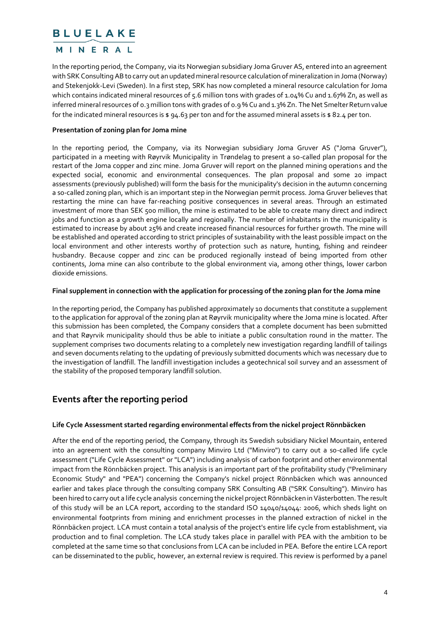#### MINERAL

In the reporting period, the Company, via its Norwegian subsidiary Joma Gruver AS, entered into an agreement with SRK Consulting AB to carry out an updated mineral resource calculation of mineralization in Joma (Norway) and Stekenjokk-Levi (Sweden). In a first step, SRK has now completed a mineral resource calculation for Joma which contains indicated mineral resources of 5.6 million tons with grades of 1.04% Cu and 1.67% Zn, as well as inferred mineral resources of 0.3 million tons with grades of 0.9 % Cu and 1.3% Zn. The Net Smelter Return value for the indicated mineral resources is  $\frac{1}{4}$ .63 per ton and for the assumed mineral assets is  $\frac{1}{4}$  82.4 per ton.

#### **Presentation of zoning plan for Joma mine**

In the reporting period, the Company, via its Norwegian subsidiary Joma Gruver AS ("Joma Gruver"), participated in a meeting with Røyrvik Municipality in Trøndelag to present a so-called plan proposal for the restart of the Joma copper and zinc mine. Joma Gruver will report on the planned mining operations and the expected social, economic and environmental consequences. The plan proposal and some 20 impact assessments (previously published) will form the basis for the municipality's decision in the autumn concerning a so-called zoning plan, which is an important step in the Norwegian permit process. Joma Gruver believes that restarting the mine can have far-reaching positive consequences in several areas. Through an estimated investment of more than SEK 500 million, the mine is estimated to be able to create many direct and indirect jobs and function as a growth engine locally and regionally. The number of inhabitants in the municipality is estimated to increase by about 25% and create increased financial resources for further growth. The mine will be established and operated according to strict principles of sustainability with the least possible impact on the local environment and other interests worthy of protection such as nature, hunting, fishing and reindeer husbandry. Because copper and zinc can be produced regionally instead of being imported from other continents, Joma mine can also contribute to the global environment via, among other things, lower carbon dioxide emissions.

#### **Final supplement in connection with the application for processing of the zoning plan for the Joma mine**

In the reporting period, the Company has published approximately 10 documents that constitute a supplement to the application for approval of the zoning plan at Røyrvik municipality where the Joma mine is located. After this submission has been completed, the Company considers that a complete document has been submitted and that Røyrvik municipality should thus be able to initiate a public consultation round in the matter. The supplement comprises two documents relating to a completely new investigation regarding landfill of tailings and seven documents relating to the updating of previously submitted documents which was necessary due to the investigation of landfill. The landfill investigation includes a geotechnical soil survey and an assessment of the stability of the proposed temporary landfill solution.

### **Events after the reporting period**

#### **Life Cycle Assessment started regarding environmental effects from the nickel project Rönnbäcken**

After the end of the reporting period, the Company, through its Swedish subsidiary Nickel Mountain, entered into an agreement with the consulting company Minviro Ltd ("Minviro") to carry out a so-called life cycle assessment ("Life Cycle Assessment" or "LCA") including analysis of carbon footprint and other environmental impact from the Rönnbäcken project. This analysis is an important part of the profitability study ("Preliminary Economic Study" and "PEA") concerning the Company's nickel project Rönnbäcken which was announced earlier and takes place through the consulting company SRK Consulting AB ("SRK Consulting"). Minviro has been hired to carry out a life cycle analysis concerning the nickel project Rönnbäcken in Västerbotten. The result of this study will be an LCA report, according to the standard ISO 14040/14044: 2006, which sheds light on environmental footprints from mining and enrichment processes in the planned extraction of nickel in the Rönnbäcken project. LCA must contain a total analysis of the project's entire life cycle from establishment, via production and to final completion. The LCA study takes place in parallel with PEA with the ambition to be completed at the same time so that conclusions from LCA can be included in PEA. Before the entire LCA report can be disseminated to the public, however, an external review is required. This review is performed by a panel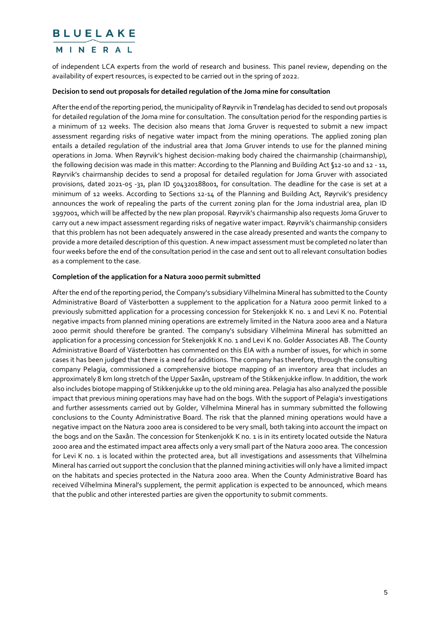#### MINERAL

of independent LCA experts from the world of research and business. This panel review, depending on the availability of expert resources, is expected to be carried out in the spring of 2022.

#### **Decision to send out proposals for detailed regulation of the Joma mine for consultation**

After the end of the reporting period, the municipality of Røyrvik in Trøndelag has decided to send out proposals for detailed regulation of the Joma mine for consultation. The consultation period for the responding parties is a minimum of 12 weeks. The decision also means that Joma Gruver is requested to submit a new impact assessment regarding risks of negative water impact from the mining operations. The applied zoning plan entails a detailed regulation of the industrial area that Joma Gruver intends to use for the planned mining operations in Joma. When Røyrvik's highest decision-making body chaired the chairmanship (chairmanship), the following decision was made in this matter: According to the Planning and Building Act §12-10 and 12 - 11, Røyrvik's chairmanship decides to send a proposal for detailed regulation for Joma Gruver with associated provisions, dated 2021-05 -31, plan ID 504320188001, for consultation. The deadline for the case is set at a minimum of 12 weeks. According to Sections 12-14 of the Planning and Building Act, Røyrvik's presidency announces the work of repealing the parts of the current zoning plan for the Joma industrial area, plan ID 1997001, which will be affected by the new plan proposal. Røyrvik's chairmanship also requests Joma Gruver to carry out a new impact assessment regarding risks of negative water impact. Røyrvik's chairmanship considers that this problem has not been adequately answered in the case already presented and wants the company to provide a more detailed description of this question. A new impact assessment must be completed no later than four weeks before the end of the consultation period in the case and sent out to all relevant consultation bodies as a complement to the case.

#### **Completion of the application for a Natura 2000 permit submitted**

After the end of the reporting period, the Company's subsidiary Vilhelmina Mineral has submitted to the County Administrative Board of Västerbotten a supplement to the application for a Natura 2000 permit linked to a previously submitted application for a processing concession for Stekenjokk K no. 1 and Levi K no. Potential negative impacts from planned mining operations are extremely limited in the Natura 2000 area and a Natura 2000 permit should therefore be granted. The company's subsidiary Vilhelmina Mineral has submitted an application for a processing concession for Stekenjokk K no. 1 and Levi K no. Golder Associates AB. The County Administrative Board of Västerbotten has commented on this EIA with a number of issues, for which in some cases it has been judged that there is a need for additions. The company has therefore, through the consulting company Pelagia, commissioned a comprehensive biotope mapping of an inventory area that includes an approximately 8 km long stretch of the Upper Saxån, upstream of the Stikkenjukke inflow. In addition, the work also includes biotope mapping of Stikkenjukke up to the old mining area. Pelagia has also analyzed the possible impact that previous mining operations may have had on the bogs. With the support of Pelagia's investigations and further assessments carried out by Golder, Vilhelmina Mineral has in summary submitted the following conclusions to the County Administrative Board. The risk that the planned mining operations would have a negative impact on the Natura 2000 area is considered to be very small, both taking into account the impact on the bogs and on the Saxån. The concession for Stenkenjokk K no. 1 is in its entirety located outside the Natura 2000 area and the estimated impact area affects only a very small part of the Natura 2000 area. The concession for Levi K no. 1 is located within the protected area, but all investigations and assessments that Vilhelmina Mineral has carried out support the conclusion that the planned mining activities will only have a limited impact on the habitats and species protected in the Natura 2000 area. When the County Administrative Board has received Vilhelmina Mineral's supplement, the permit application is expected to be announced, which means that the public and other interested parties are given the opportunity to submit comments.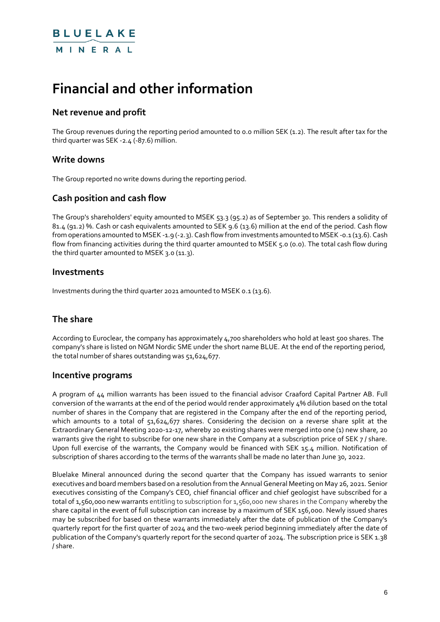# **Financial and other information**

### **Net revenue and profit**

The Group revenues during the reporting period amounted to 0.0 million SEK (1.2). The result after tax for the third quarter was SEK -2.4 (-87.6) million.

#### **Write downs**

The Group reported no write downs during the reporting period.

#### **Cash position and cash flow**

The Group's shareholders' equity amounted to MSEK 53.3 (95.2) as of September 30. This renders a solidity of 81.4 (91.2) %. Cash or cash equivalents amounted to SEK 9.6 (13.6) million at the end of the period. Cash flow from operations amounted to MSEK -1.9 (-2.3). Cash flow from investments amounted to MSEK -0.1 (13.6). Cash flow from financing activities during the third quarter amounted to MSEK 5.0 (0.0). The total cash flow during the third quarter amounted to MSEK 3.0 (11.3).

#### **Investments**

Investments during the third quarter 2021 amounted to MSEK 0.1 (13.6).

### **The share**

According to Euroclear, the company has approximately 4,700 shareholders who hold at least 500 shares. The company's share is listed on NGM Nordic SME under the short name BLUE. At the end of the reporting period, the total number of shares outstanding was 51,624,677.

#### **Incentive programs**

A program of 44 million warrants has been issued to the financial advisor Craaford Capital Partner AB. Full conversion of the warrants at the end of the period would render approximately 4% dilution based on the total number of shares in the Company that are registered in the Company after the end of the reporting period, which amounts to a total of 51,624,677 shares. Considering the decision on a reverse share split at the Extraordinary General Meeting 2020-12-17, whereby 20 existing shares were merged into one (1) new share, 20 warrants give the right to subscribe for one new share in the Company at a subscription price of SEK 7 / share. Upon full exercise of the warrants, the Company would be financed with SEK 15.4 million. Notification of subscription of shares according to the terms of the warrants shall be made no later than June 30, 2022.

Bluelake Mineral announced during the second quarter that the Company has issued warrants to senior executives and board members based on a resolution from the Annual General Meeting on May 26, 2021. Senior executives consisting of the Company's CEO, chief financial officer and chief geologist have subscribed for a total of 1,560,000 new warrants entitling to subscription for 1,560,000 new shares in the Company whereby the share capital in the event of full subscription can increase by a maximum of SEK 156,000. Newly issued shares may be subscribed for based on these warrants immediately after the date of publication of the Company's quarterly report for the first quarter of 2024 and the two-week period beginning immediately after the date of publication of the Company's quarterly report for the second quarter of 2024. The subscription price is SEK 1.38 / share.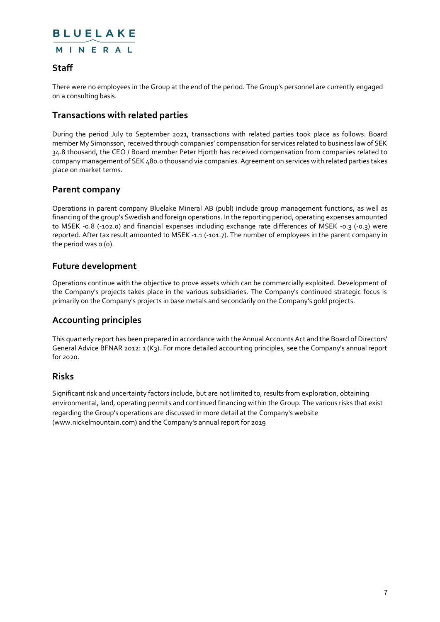### MINERAL

#### **Staff**

There were no employees in the Group at the end of the period. The Group's personnel are currently engaged on a consulting basis.

### **Transactions with related parties**

During the period July to September 2021, transactions with related parties took place as follows: Board member My Simonsson, received through companies' compensation for services related to business law of SEK 34.8 thousand, the CEO / Board member Peter Hjorth has received compensation from companies related to company management of SEK 480.0 thousand via companies. Agreement on services with related parties takes place on market terms.

#### **Parent company**

Operations in parent company Bluelake Mineral AB (publ) include group management functions, as well as financing of the group's Swedish and foreign operations. In the reporting period, operating expenses amounted to MSEK -0.8 (-102.0) and financial expenses including exchange rate differences of MSEK -0.3 (-0.3) were reported. After tax result amounted to MSEK -1.1 (-101.7). The number of employees in the parent company in the period was o (o).

#### **Future development**

Operations continue with the objective to prove assets which can be commercially exploited. Development of the Company's projects takes place in the various subsidiaries. The Company's continued strategic focus is primarily on the Company's projects in base metals and secondarily on the Company's gold projects.

#### **Accounting principles**

This quarterly report has been prepared in accordance with the Annual Accounts Act and the Board of Directors' General Advice BFNAR 2012: 1 (K3). For more detailed accounting principles, see the Company's annual report for 2020.

#### **Risks**

Significant risk and uncertainty factors include, but are not limited to, results from exploration, obtaining environmental, land, operating permits and continued financing within the Group. The various risks that exist regarding the Group's operations are discussed in more detail at the Company's website (www.nickelmountain.com) and the Company's annual report for 2019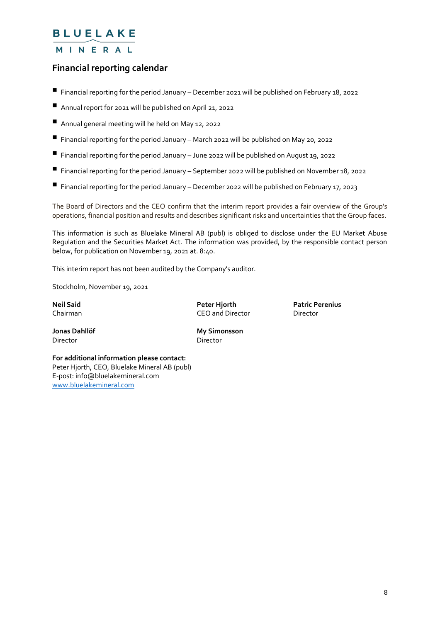### MINERAL

#### **Financial reporting calendar**

- $\blacksquare$  Financial reporting for the period January December 2021 will be published on February 18, 2022
- Annual report for 2021 will be published on April 21, 2022
- Annual general meeting will he held on May 12, 2022
- $\blacksquare$  Financial reporting for the period January March 2022 will be published on May 20, 2022
- $\blacksquare$  Financial reporting for the period January June 2022 will be published on August 19, 2022
- Financial reporting for the period January September 2022 will be published on November 18, 2022
- $\blacksquare$  Financial reporting for the period January December 2022 will be published on February 17, 2023

The Board of Directors and the CEO confirm that the interim report provides a fair overview of the Group's operations, financial position and results and describes significant risks and uncertainties that the Group faces.

This information is such as Bluelake Mineral AB (publ) is obliged to disclose under the EU Market Abuse Regulation and the Securities Market Act. The information was provided, by the responsible contact person below, for publication on November 19, 2021 at. 8:40.

This interim report has not been audited by the Company's auditor.

Stockholm, November 19, 2021

**Neil Said Peter Hjorth Patric Perenius** Chairman CEO and Director Director

Director Director

**Jonas Dahllöf My Simonsson**

**For additional information please contact:** Peter Hjorth, CEO, Bluelake Mineral AB (publ) E-post: info@bluelakemineral.com [www.bluelakemineral.com](http://www.bluelakemineral.com/)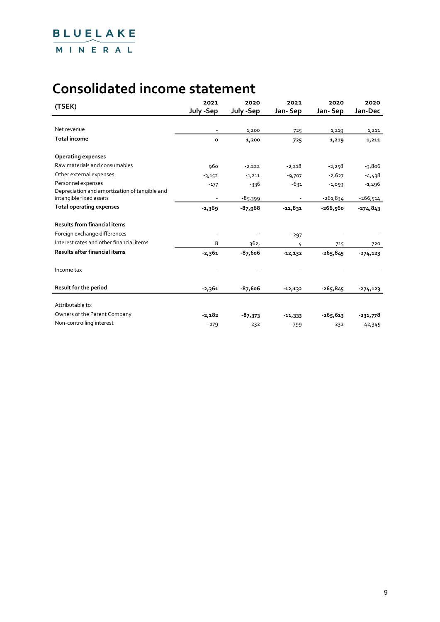# **Consolidated income statement**

| (TSEK)                                                                   | 2021      | 2020      | 2021       | 2020       | 2020        |
|--------------------------------------------------------------------------|-----------|-----------|------------|------------|-------------|
|                                                                          | July -Sep | July -Sep | Jan-Sep    | Jan-Sep    | Jan-Dec     |
|                                                                          |           |           |            |            |             |
| Net revenue                                                              |           | 1,200     | 725        | 1,219      | 1,211       |
| <b>Total income</b>                                                      | $\circ$   | 1,200     | 725        | 1,219      | 1,211       |
| <b>Operating expenses</b>                                                |           |           |            |            |             |
| Raw materials and consumables                                            | 960       | $-2,222$  | $-2,218$   | $-2,258$   | $-3,806$    |
| Other external expenses                                                  | $-3,152$  | $-1,211$  | $-9,707$   | $-2,627$   | -4,438      |
| Personnel expenses                                                       | $-177$    | $-336$    | $-631$     | $-1,059$   | $-1,296$    |
| Depreciation and amortization of tangible and<br>intangible fixed assets |           | $-85,399$ |            | $-261,834$ | -266,514    |
| <b>Total operating expenses</b>                                          | $-2,369$  | $-87,968$ | $-11,831$  | $-266,560$ | $-274,843$  |
| <b>Results from financial items</b>                                      |           |           |            |            |             |
| Foreign exchange differences                                             |           |           | $-297$     |            |             |
| Interest rates and other financial items                                 | 8         | 362,      | 4          | 715        | 720         |
| Results after financial items                                            | $-2,361$  | $-87,606$ | $-12, 132$ | $-265,845$ | $-274, 123$ |
| Income tax                                                               |           |           |            |            |             |
| Result for the period                                                    | $-2,361$  | $-87,606$ | $-12, 132$ | $-265,845$ | $-274, 123$ |
| Attributable to:                                                         |           |           |            |            |             |
| Owners of the Parent Company                                             | $-2,182$  | $-87,373$ | $-11,333$  | $-265,613$ | $-231,778$  |
| Non-controlling interest                                                 | $-179$    | $-232$    | $-799$     | $-232$     | $-42,345$   |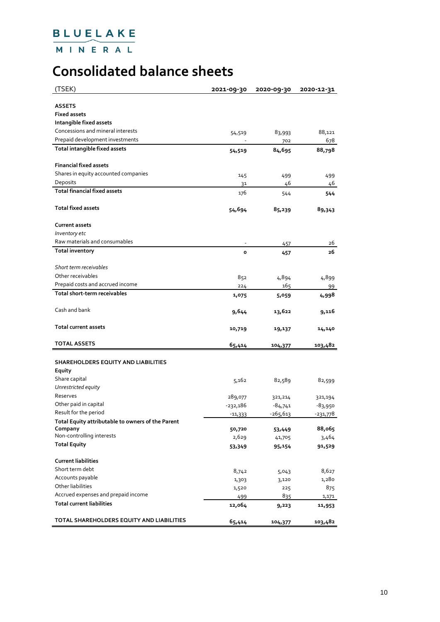MINERAL

# **Consolidated balance sheets**

| (TSEK)                                                       | 2021-09-30 | 2020-09-30 | 2020-12-31 |
|--------------------------------------------------------------|------------|------------|------------|
| <b>ASSETS</b>                                                |            |            |            |
| <b>Fixed assets</b>                                          |            |            |            |
|                                                              |            |            |            |
| Intangible fixed assets<br>Concessions and mineral interests |            |            |            |
|                                                              | 54,519     | 83,993     | 88,121     |
| Prepaid development investments                              |            | 702        | 678        |
| Total intangible fixed assets                                | 54,519     | 84,695     | 88,798     |
| <b>Financial fixed assets</b>                                |            |            |            |
| Shares in equity accounted companies                         | 145        | 499        | 499        |
| Deposits                                                     | 31         | 46         | 46         |
| <b>Total financial fixed assets</b>                          | 176        | 544        | 544        |
| <b>Total fixed assets</b>                                    | 54,694     | 85,239     | 89,343     |
| <b>Current assets</b>                                        |            |            |            |
| Inventory etc                                                |            |            |            |
| Raw materials and consumables                                |            | 457        | 26         |
| <b>Total inventory</b>                                       | $\circ$    |            | 26         |
|                                                              |            | 457        |            |
| Short term receivables                                       |            |            |            |
| Other receivables                                            | 852        | 4,894      | 4,899      |
| Prepaid costs and accrued income                             |            | 165        |            |
| Total short-term receivables                                 | 224        |            | 99         |
|                                                              | 1,075      | 5,059      | 4,998      |
| Cash and bank                                                | 9,644      | 13,622     | 9,116      |
| <b>Total current assets</b>                                  | 10,719     | 19,137     | 14,140     |
| <b>TOTAL ASSETS</b>                                          | 65,414     | 104,377    | 103,482    |
|                                                              |            |            |            |
| SHAREHOLDERS EQUITY AND LIABILITIES                          |            |            |            |
| Equity                                                       |            |            |            |
| Share capital                                                | 5,162      | 82,589     | 82,599     |
| Unrestricted equity                                          |            |            |            |
| Reserves                                                     | 289,077    | 321,214    | 321,194    |
| Other paid in capital                                        | $-232,186$ | $-84,741$  | -83,950    |
| Result for the period                                        | $-11,333$  | $-265,613$ | -231,778   |
| Total Equity attributable to owners of the Parent            |            |            |            |
| Company                                                      | 50,720     | 53,449     | 88,065     |
| Non-controlling interests                                    | 2,629      | 41,705     | 3,464      |
| <b>Total Equity</b>                                          | 53,349     | 95,154     | 91,529     |
| <b>Current liabilities</b>                                   |            |            |            |
| Short term debt                                              | 8,742      | 5,043      | 8,627      |
| Accounts payable                                             | 1,303      | 3,120      | 1,280      |
| Other liabilities                                            | 1,520      | 225        | 875        |
| Accrued expenses and prepaid income                          | 499        | 835        | 1,171      |
| <b>Total current liabilities</b>                             | 12,064     | 9,223      | 11,953     |
|                                                              |            |            |            |
| TOTAL SHAREHOLDERS EQUITY AND LIABILITIES                    | 65,414     | 104,377    | 103,482    |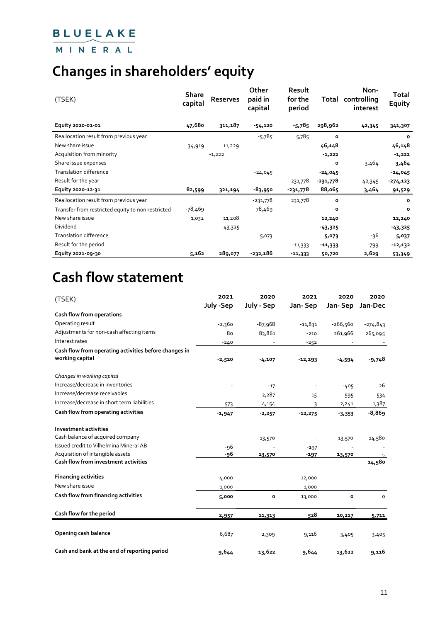### MINERAL

# **Changes in shareholders' equity**

| (TSEK)                                            | <b>Share</b><br>capital | Reserves  | Other<br>paid in<br>capital | <b>Result</b><br>for the<br>period | Total      | Non-<br>controlling<br>interest | Total<br>Equity |
|---------------------------------------------------|-------------------------|-----------|-----------------------------|------------------------------------|------------|---------------------------------|-----------------|
| Equity 2020-01-01                                 | 47,680                  | 311,187   | $-54,120$                   | $-5,785$                           | 298,962    | 42,345                          | 341,307         |
| Reallocation result from previous year            |                         |           | $-5,785$                    | 5,785                              | $\circ$    |                                 | $\circ$         |
| New share issue                                   | 34,919                  | 11,229    |                             |                                    | 46,148     |                                 | 46,148          |
| Acquisition from minority                         |                         | $-1,222$  |                             |                                    | $-1,222$   |                                 | $-1,222$        |
| Share issue expenses                              |                         |           |                             |                                    | $\circ$    | 3,464                           | 3,464           |
| <b>Translation difference</b>                     |                         |           | $-24,045$                   |                                    | $-24,045$  |                                 | $-24,045$       |
| Result for the year                               |                         |           |                             | -231,778                           | $-231,778$ | $-42,345$                       | $-274, 123$     |
| Equity 2020-12-31                                 | 82,599                  | 321,194   | -83,950                     | -231,778                           | 88,065     | 3,464                           | 91,529          |
| Reallocation result from previous year            |                         |           | -231,778                    | 231,778                            | $\circ$    |                                 | $\circ$         |
| Transfer from restricted equity to non restricted | -78,469                 |           | 78,469                      |                                    | $\circ$    |                                 | $\circ$         |
| New share issue                                   | 1,032                   | 11,208    |                             |                                    | 12,240     |                                 | 12,240          |
| Dividend                                          |                         | $-43,325$ |                             |                                    | $-43,325$  |                                 | $-43,325$       |
| Translation difference                            |                         |           | 5,073                       |                                    | 5,073      | -36                             | 5,037           |
| Result for the period                             |                         |           |                             | $-11,333$                          | $-11,333$  | $-799$                          | -12,132         |
| Equity 2021-09-30                                 | 5,162                   | 289,077   | -232,186                    | $-11,333$                          | 50,720     | 2,629                           | 53,349          |

# **Cash flow statement**

| (TSEK)                                                                   | 2021      | 2020       | 2021      | 2020         | 2020       |
|--------------------------------------------------------------------------|-----------|------------|-----------|--------------|------------|
|                                                                          | July -Sep | July - Sep | Jan-Sep   | Jan-Sep      | Jan-Dec    |
| Cash flow from operations                                                |           |            |           |              |            |
| Operating result                                                         | $-2,360$  | $-87,968$  | $-11,831$ | $-266,560$   | $-274,843$ |
| Adjustments for non-cash affecting items                                 | 80        | 83,861     | $-210$    | 261,966      | 265,095    |
| Interest rates                                                           | $-240$    |            | $-252$    |              |            |
| Cash flow from operating activities before changes in<br>working capital | $-2,520$  | $-4,107$   | $-12,293$ | 4,594        | $-9,748$   |
| Changes in working capital                                               |           |            |           |              |            |
| Increase/decrease in inventories                                         |           | $-17$      |           | $-405$       | 26         |
| Increase/decrease receivables                                            |           | $-2,287$   | 15        | $-595$       | $-534$     |
| Increase/decrease in short term liabilities                              | 573       | 4,154      | 3         | 2,241        | 1,387      |
| Cash flow from operating activities                                      | $-1,947$  | $-2,257$   | $-12,275$ | $-3,353$     | $-8,869$   |
| <b>Investment activities</b>                                             |           |            |           |              |            |
| Cash balance of acquired company                                         |           | 13,570     |           | 13,570       | 14,580     |
| Issued credit to Vilhelmina Mineral AB                                   | $-96$     |            | $-197$    |              |            |
| Acquisition of intangible assets                                         | -96       | 13,570     | $-197$    | 13,570       |            |
| <b>Cash flow from investment activities</b>                              |           |            |           |              | 14,580     |
| <b>Financing activities</b>                                              | 4,000     |            | 12,000    |              |            |
| New share issue                                                          | 1,000     |            | 1,000     |              |            |
| Cash flow from financing activities                                      | 5,000     | o          | 13,000    | $\mathbf{o}$ | $\circ$    |
| Cash flow for the period                                                 | 2,957     | 11,313     | 528       | 10,217       | 5,711      |
| Opening cash balance                                                     | 6,687     | 2,309      | 9,116     | 3,405        | 3,405      |
| Cash and bank at the end of reporting period                             | 9,644     | 13,622     | 9,644     | 13,622       | 9,116      |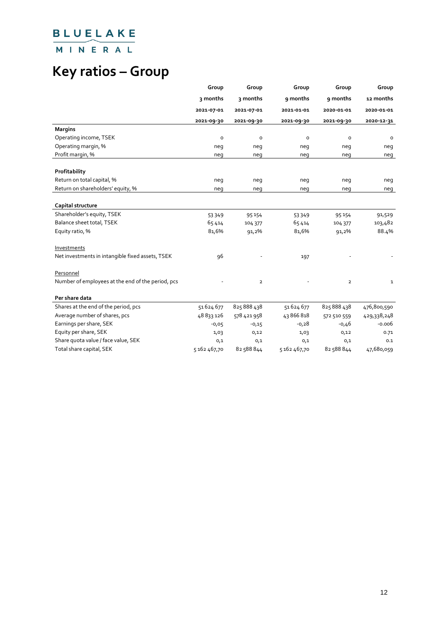MINERAL

# **Key ratios – Group**

|                                                   | Group        | Group          | Group        | Group                   | Group       |
|---------------------------------------------------|--------------|----------------|--------------|-------------------------|-------------|
|                                                   | 3 months     | 3 months       | 9 months     | 9 months                | 12 months   |
|                                                   | 2021-07-01   | 2021-07-01     | 2021-01-01   | 2020-01-01              | 2020 01 01  |
|                                                   | 2021-09-30   | 2021-09-30     | 2021-09-30   | 2021-09-30              | 2020-12-31  |
| <b>Margins</b>                                    |              |                |              |                         |             |
| Operating income, TSEK                            | $\circ$      | $\circ$        | $\circ$      | $\circ$                 | $\circ$     |
| Operating margin, %                               | neg          | neg            | neq          | neg                     | neg         |
| Profit margin, %                                  | neg          | neg            | neg          | neg                     | neg         |
|                                                   |              |                |              |                         |             |
| Profitability                                     |              |                |              |                         |             |
| Return on total capital, %                        | neg          | neg            | neg          | neg                     | neg         |
| Return on shareholders' equity, %                 | neg          | neg            | neg          | neg                     | neg         |
|                                                   |              |                |              |                         |             |
| Capital structure                                 |              |                |              |                         |             |
| Shareholder's equity, TSEK                        | 53349        | 95 154         | 53 3 4 9     | 95 154                  | 91,529      |
| Balance sheet total, TSEK                         | 65414        | 104 377        | 65414        | 104 377                 | 103,482     |
| Equity ratio, %                                   | 81,6%        | 91,2%          | 81,6%        | 91,2%                   | 88.4%       |
|                                                   |              |                |              |                         |             |
| Investments                                       |              |                |              |                         |             |
| Net investments in intangible fixed assets, TSEK  | 96           |                | 197          |                         |             |
|                                                   |              |                |              |                         |             |
| Personnel                                         |              |                |              |                         |             |
| Number of employees at the end of the period, pcs |              | $\overline{2}$ |              | $\overline{\mathbf{2}}$ | 1           |
|                                                   |              |                |              |                         |             |
| Per share data                                    |              |                |              |                         |             |
| Shares at the end of the period, pcs              | 51624677     | 825888438      | 51624677     | 825888438               | 476,800,590 |
| Average number of shares, pcs                     | 48833126     | 578 421 958    | 43866818     | 572 510 559             | 429,338,248 |
| Earnings per share, SEK                           | $-0,05$      | $-0,15$        | $-0,28$      | $-0,46$                 | $-0.006$    |
| Equity per share, SEK                             | 1,03         | 0,12           | 1,03         | 0,12                    | 0.71        |
| Share quota value / face value, SEK               | 0,1          | 0,1            | 0,1          | 0,1                     | 0.1         |
| Total share capital, SEK                          | 5 162 467,70 | 82588844       | 5 162 467,70 | 82588844                | 47,680,059  |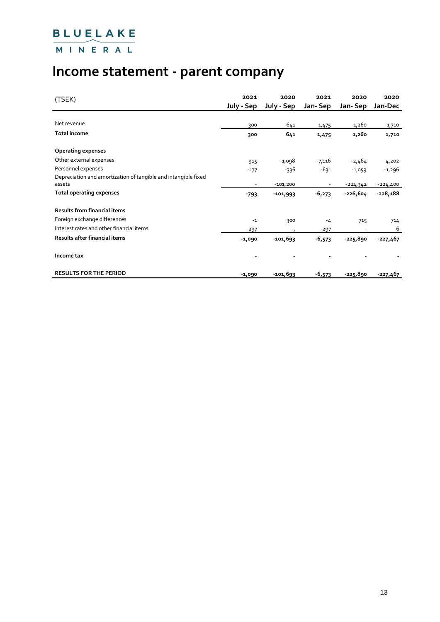MINERAL

# **Income statement - parent company**

| (TSEK)                                                                   | 2021<br>July - Sep | 2020<br>July - Sep       | 2021<br>Jan-Sep | 2020<br>Jan-Sep | 2020<br>Jan-Dec |
|--------------------------------------------------------------------------|--------------------|--------------------------|-----------------|-----------------|-----------------|
| Net revenue                                                              | 300                | 641                      | 1,475           | 1,260           | 1,710           |
| <b>Total income</b>                                                      | 300                | 641                      | 1,475           | 1,260           | 1,710           |
| <b>Operating expenses</b>                                                |                    |                          |                 |                 |                 |
| Other external expenses                                                  | $-915$             | -1,098                   | $-7,116$        | $-2,464$        | $-4,202$        |
| Personnel expenses                                                       | $-177$             | -336                     | -631            | $-1,059$        | -1,296          |
| Depreciation and amortization of tangible and intangible fixed<br>assets |                    | $-101,200$               |                 | $-224,342$      | $-224,400$      |
| Total operating expenses                                                 | $-793$             | $-101,993$               | $-6,273$        | $-226,604$      | $-228,188$      |
| <b>Results from financial items</b>                                      |                    |                          |                 |                 |                 |
| Foreign exchange differences                                             | $-1$               | 300                      | $-4$            | 715             | 714             |
| Interest rates and other financial items                                 | $-297$             | $\overline{\phantom{a}}$ | $-297$          |                 | 6               |
| Results after financial items                                            | -1,090             | $-101,693$               | $-6,573$        | -225,890        | $-227,467$      |
| Income tax                                                               |                    |                          |                 |                 |                 |
| <b>RESULTS FOR THE PERIOD</b>                                            | $-1,090$           | $-101,693$               | $-6,573$        | -225,890        | $-227,467$      |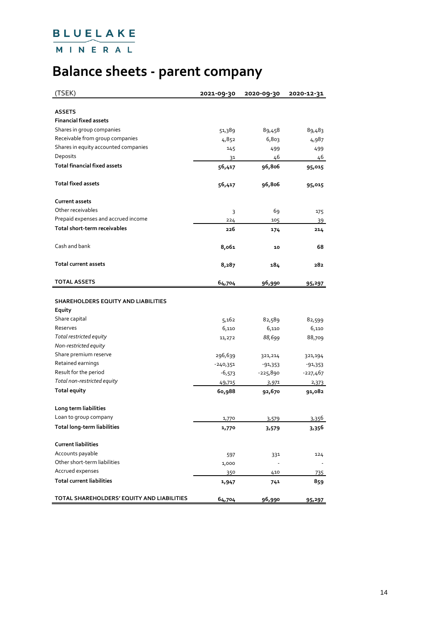MINERAL

# **Balance sheets - parent company**

| (TSEK)                                     | 2021-09-30             | 2020-09-30    | 2020-12-31          |
|--------------------------------------------|------------------------|---------------|---------------------|
|                                            |                        |               |                     |
| <b>ASSETS</b>                              |                        |               |                     |
| <b>Financial fixed assets</b>              |                        |               |                     |
| Shares in group companies                  | 51,389                 | 89,458        | 89,483              |
| Receivable from group companies            | 4,852                  | 6,803         | 4,987               |
| Shares in equity accounted companies       | 145                    | 499           | 499                 |
| Deposits                                   | 31                     | 46            | 46                  |
| <b>Total financial fixed assets</b>        | 56,417                 | 96,806        | 95,015              |
| <b>Total fixed assets</b>                  | 56,417                 | 96,806        | 95,015              |
| <b>Current assets</b>                      |                        |               |                     |
| Other receivables                          | 3                      | 69            | 175                 |
| Prepaid expenses and accrued income        | 224                    | 105           | 39                  |
| Total short-term receivables               | 226                    | 174           | 214                 |
| Cash and bank                              | 8,061                  | 10            | 68                  |
| <b>Total current assets</b>                | 8,287                  | 184           | 282                 |
| <b>TOTAL ASSETS</b>                        | 64,704                 | 96,990        |                     |
|                                            |                        |               | 95,297              |
| SHAREHOLDERS EQUITY AND LIABILITIES        |                        |               |                     |
| Equity                                     |                        |               |                     |
| Share capital                              | 5,162                  | 82,589        |                     |
| Reserves                                   |                        | 6,110         | 82,599<br>6,110     |
| Total restricted equity                    | 6,110                  | 88,699        | 88,709              |
| Non-restricted equity                      | 11,272                 |               |                     |
| Share premium reserve                      | 296,639                |               |                     |
| Retained earnings                          |                        | 321,214       | 321,194             |
| Result for the period                      | $-240,351$<br>$-6,573$ | -91,353       | -91,353<br>-227,467 |
| Total non-restricted equity                |                        | -225,890      |                     |
| <b>Total equity</b>                        | 49,715                 | 3,971         | 2,373               |
|                                            | 60,988                 | 92,670        | 91,082              |
| Long term liabilities                      |                        |               |                     |
| Loan to group company                      | 1/70                   | 3,579         | 3,356               |
| Total long-term liabilities                | 1,770                  | 3,579         | 3,356               |
| <b>Current liabilities</b>                 |                        |               |                     |
| Accounts payable                           |                        |               |                     |
| Other short-term liabilities               | 597                    | 331           | 124                 |
| Accrued expenses                           | 1,000                  |               |                     |
| <b>Total current liabilities</b>           | 350                    | 410           | 735                 |
|                                            | 1,947                  | 741           | 859                 |
| TOTAL SHAREHOLDERS' EQUITY AND LIABILITIES | 64,704                 | <u>96,990</u> | 95,297              |